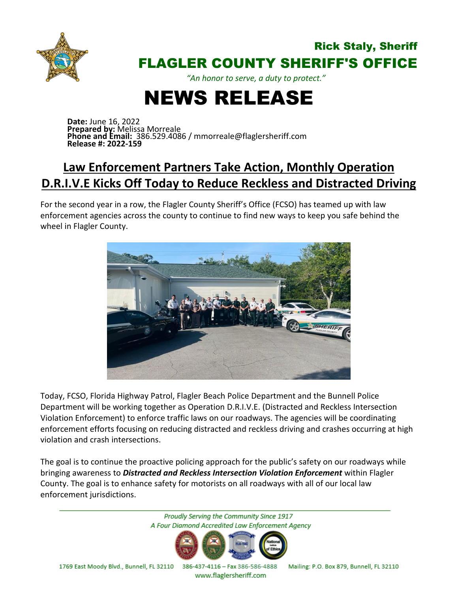

## Rick Staly, Sheriff FLAGLER COUNTY SHERIFF'S OFFICE

*"An honor to serve, a duty to protect."*

## NEWS RELEASE

**Date:** June 16, 2022 **Prepared by:** Melissa Morreale **Phone and Email:** 386.529.4086 / mmorreale@flaglersheriff.com **Release #: 2022-159**

## **Law Enforcement Partners Take Action, Monthly Operation D.R.I.V.E Kicks Off Today to Reduce Reckless and Distracted Driving**

For the second year in a row, the Flagler County Sheriff's Office (FCSO) has teamed up with law enforcement agencies across the county to continue to find new ways to keep you safe behind the wheel in Flagler County.



Today, FCSO, Florida Highway Patrol, Flagler Beach Police Department and the Bunnell Police Department will be working together as Operation D.R.I.V.E. (Distracted and Reckless Intersection Violation Enforcement) to enforce traffic laws on our roadways. The agencies will be coordinating enforcement efforts focusing on reducing distracted and reckless driving and crashes occurring at high violation and crash intersections.

The goal is to continue the proactive policing approach for the public's safety on our roadways while bringing awareness to *Distracted and Reckless Intersection Violation Enforcement* within Flagler County. The goal is to enhance safety for motorists on all roadways with all of our local law enforcement jurisdictions.